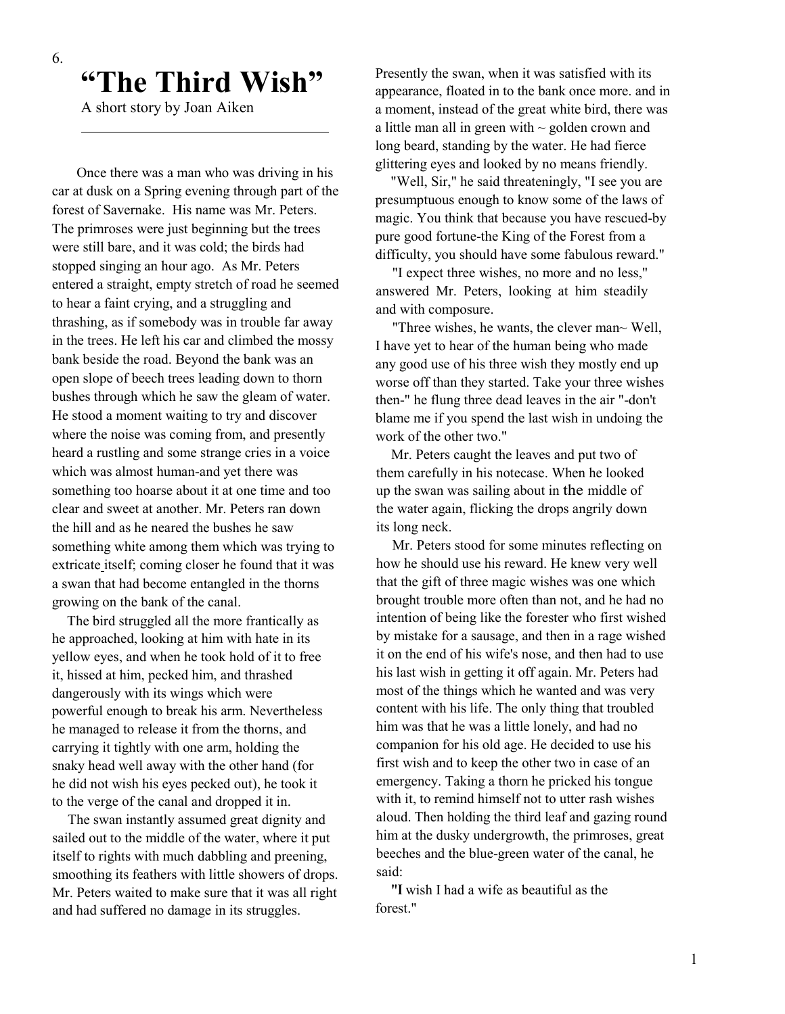$\overline{a}$ 

## "The Third Wish"

A short story by Joan Aiken

 Once there was a man who was driving in his car at dusk on a Spring evening through part of the forest of Savernake. His name was Mr. Peters. The primroses were just beginning but the trees were still bare, and it was cold; the birds had stopped singing an hour ago. As Mr. Peters entered a straight, empty stretch of road he seemed to hear a faint crying, and a struggling and thrashing, as if somebody was in trouble far away in the trees. He left his car and climbed the mossy bank beside the road. Beyond the bank was an open slope of beech trees leading down to thorn bushes through which he saw the gleam of water. He stood a moment waiting to try and discover where the noise was coming from, and presently heard a rustling and some strange cries in a voice which was almost human-and yet there was something too hoarse about it at one time and too clear and sweet at another. Mr. Peters ran down the hill and as he neared the bushes he saw something white among them which was trying to extricate itself; coming closer he found that it was a swan that had become entangled in the thorns growing on the bank of the canal.

The bird struggled all the more frantically as he approached, looking at him with hate in its yellow eyes, and when he took hold of it to free it, hissed at him, pecked him, and thrashed dangerously with its wings which were powerful enough to break his arm. Nevertheless he managed to release it from the thorns, and carrying it tightly with one arm, holding the snaky head well away with the other hand (for he did not wish his eyes pecked out), he took it to the verge of the canal and dropped it in.

The swan instantly assumed great dignity and sailed out to the middle of the water, where it put itself to rights with much dabbling and preening, smoothing its feathers with little showers of drops. Mr. Peters waited to make sure that it was all right and had suffered no damage in its struggles.

Presently the swan, when it was satisfied with its appearance, floated in to the bank once more. and in a moment, instead of the great white bird, there was a little man all in green with  $\sim$  golden crown and long beard, standing by the water. He had fierce glittering eyes and looked by no means friendly.

"Well, Sir," he said threateningly, "I see you are presumptuous enough to know some of the laws of magic. You think that because you have rescued-by pure good fortune-the King of the Forest from a difficulty, you should have some fabulous reward."

"I expect three wishes, no more and no less," answered Mr. Peters, looking at him steadily and with composure.

"Three wishes, he wants, the clever man~ Well, I have yet to hear of the human being who made any good use of his three wish they mostly end up worse off than they started. Take your three wishes then-" he flung three dead leaves in the air "-don't blame me if you spend the last wish in undoing the work of the other two."

Mr. Peters caught the leaves and put two of them carefully in his notecase. When he looked up the swan was sailing about in the middle of the water again, flicking the drops angrily down its long neck.

Mr. Peters stood for some minutes reflecting on how he should use his reward. He knew very well that the gift of three magic wishes was one which brought trouble more often than not, and he had no intention of being like the forester who first wished by mistake for a sausage, and then in a rage wished it on the end of his wife's nose, and then had to use his last wish in getting it off again. Mr. Peters had most of the things which he wanted and was very content with his life. The only thing that troubled him was that he was a little lonely, and had no companion for his old age. He decided to use his first wish and to keep the other two in case of an emergency. Taking a thorn he pricked his tongue with it, to remind himself not to utter rash wishes aloud. Then holding the third leaf and gazing round him at the dusky undergrowth, the primroses, great beeches and the blue-green water of the canal, he said:

"I wish I had a wife as beautiful as the forest."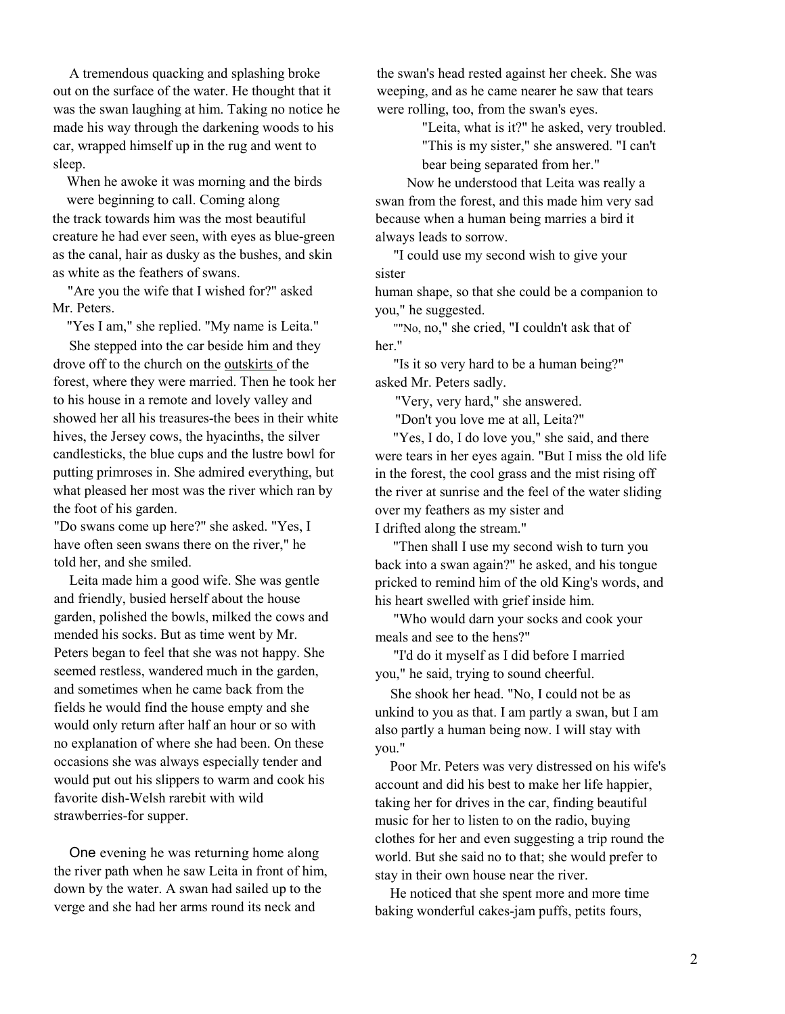A tremendous quacking and splashing broke out on the surface of the water. He thought that it was the swan laughing at him. Taking no notice he made his way through the darkening woods to his car, wrapped himself up in the rug and went to sleep.

When he awoke it was morning and the birds were beginning to call. Coming along the track towards him was the most beautiful creature he had ever seen, with eyes as blue-green as the canal, hair as dusky as the bushes, and skin as white as the feathers of swans.

"Are you the wife that I wished for?" asked Mr. Peters.

"Yes I am," she replied. "My name is Leita."

She stepped into the car beside him and they drove off to the church on the outskirts of the forest, where they were married. Then he took her to his house in a remote and lovely valley and showed her all his treasures-the bees in their white hives, the Jersey cows, the hyacinths, the silver candlesticks, the blue cups and the lustre bowl for putting primroses in. She admired everything, but what pleased her most was the river which ran by the foot of his garden.

"Do swans come up here?" she asked. "Yes, I have often seen swans there on the river," he told her, and she smiled.

Leita made him a good wife. She was gentle and friendly, busied herself about the house garden, polished the bowls, milked the cows and mended his socks. But as time went by Mr. Peters began to feel that she was not happy. She seemed restless, wandered much in the garden, and sometimes when he came back from the fields he would find the house empty and she would only return after half an hour or so with no explanation of where she had been. On these occasions she was always especially tender and would put out his slippers to warm and cook his favorite dish-Welsh rarebit with wild strawberries-for supper.

One evening he was returning home along the river path when he saw Leita in front of him, down by the water. A swan had sailed up to the verge and she had her arms round its neck and

the swan's head rested against her cheek. She was weeping, and as he came nearer he saw that tears were rolling, too, from the swan's eyes.

> "Leita, what is it?" he asked, very troubled. "This is my sister," she answered. "I can't bear being separated from her."

Now he understood that Leita was really a swan from the forest, and this made him very sad because when a human being marries a bird it always leads to sorrow.

"I could use my second wish to give your sister

human shape, so that she could be a companion to you," he suggested.

""No, no," she cried, "I couldn't ask that of her."

"Is it so very hard to be a human being?" asked Mr. Peters sadly.

"Very, very hard," she answered.

"Don't you love me at all, Leita?"

"Yes, I do, I do love you," she said, and there were tears in her eyes again. "But I miss the old life in the forest, the cool grass and the mist rising off the river at sunrise and the feel of the water sliding over my feathers as my sister and I drifted along the stream."

"Then shall I use my second wish to turn you back into a swan again?" he asked, and his tongue pricked to remind him of the old King's words, and his heart swelled with grief inside him.

"Who would darn your socks and cook your meals and see to the hens?"

"I'd do it myself as I did before I married you," he said, trying to sound cheerful.

She shook her head. "No, I could not be as unkind to you as that. I am partly a swan, but I am also partly a human being now. I will stay with you."

Poor Mr. Peters was very distressed on his wife's account and did his best to make her life happier, taking her for drives in the car, finding beautiful music for her to listen to on the radio, buying clothes for her and even suggesting a trip round the world. But she said no to that; she would prefer to stay in their own house near the river.

He noticed that she spent more and more time baking wonderful cakes-jam puffs, petits fours,